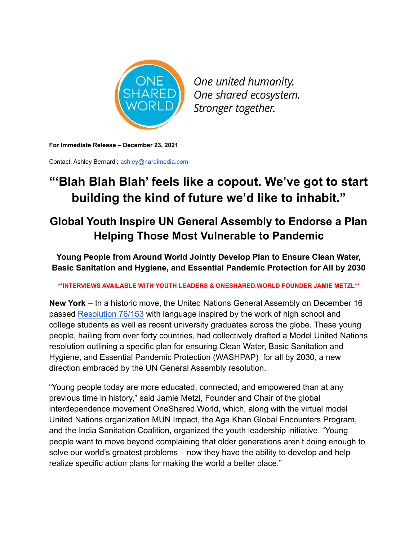

One united humanity. One shared ecosystem. Stronger together.

**For Immediate Release – December 23, 2021**

Contact: Ashley Bernardi; ashley@nardimedia.com

## **"'Blah Blah Blah' feels like a copout. We've got to start building the kind of future we'd like to inhabit."**

## **Global Youth Inspire UN General Assembly to Endorse a Plan Helping Those Most Vulnerable to Pandemic**

**Young People from Around World Jointly Develop Plan to Ensure Clean Water, Basic Sanitation and Hygiene, and Essential Pandemic Protection for All by 2030**

**\*\*INTERVIEWS AVAILABLE WITH YOUTH LEADERS & ONESHARED.WORLD FOUNDER JAMIE METZL\*\***

**New York** – In a historic move, the United Nations General Assembly on December 16 passed [Resolution 76/153](https://undocs.org/en/A/RES/76/153) with language inspired by the work of high school and college students as well as recent university graduates across the globe. These young people, hailing from over forty countries, had collectively drafted a Model United Nations resolution outlining a specific plan for ensuring Clean Water, Basic Sanitation and Hygiene, and Essential Pandemic Protection (WASHPAP) for all by 2030, a new direction embraced by the UN General Assembly resolution.

"Young people today are more educated, connected, and empowered than at any previous time in history," said Jamie Metzl, Founder and Chair of the global interdependence movement OneShared.World, which, along with the virtual model United Nations organization MUN Impact, the Aga Khan Global Encounters Program, and the India Sanitation Coalition, organized the youth leadership initiative. "Young people want to move beyond complaining that older generations aren't doing enough to solve our world's greatest problems – now they have the ability to develop and help realize specific action plans for making the world a better place."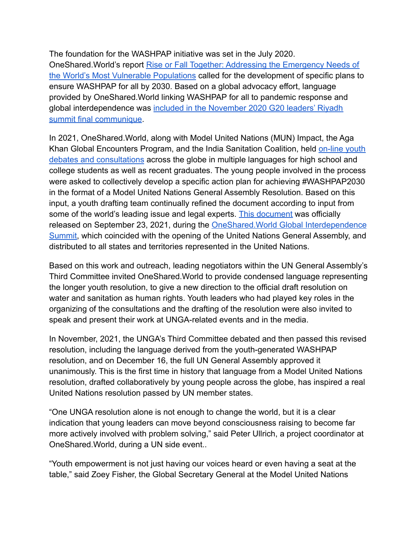The foundation for the WASHPAP initiative was set in the July 2020. OneShared.World's report [Rise or Fall Together: Addressing the Emergency Needs of](https://oneshared.world/wp-content/uploads/2020/07/Rise-or-Fall-Together-071620.pdf) [the World's Most Vulnerable Populations](https://oneshared.world/wp-content/uploads/2020/07/Rise-or-Fall-Together-071620.pdf) called for the development of specific plans to ensure WASHPAP for all by 2030. Based on a global advocacy effort, language provided by OneShared.World linking WASHPAP for all to pandemic response and global interdependence was included in the November [2020 G20 leaders' Riyadh](https://www.madhyapradeshtimes.in/g20-leaders-incorporated-recommendations-and-language-championed/) [summit final communique](https://www.madhyapradeshtimes.in/g20-leaders-incorporated-recommendations-and-language-championed/).

In 2021, OneShared.World, along with Model United Nations (MUN) Impact, the Aga Khan Global Encounters Program, and the India Sanitation Coalition, held [on-line youth](https://www.dnaindia.com/india/report-ground-breaking-global-consultations-on-washpap-2909375) [debates and consultations](https://www.dnaindia.com/india/report-ground-breaking-global-consultations-on-washpap-2909375) across the globe in multiple languages for high school and college students as well as recent graduates. The young people involved in the process were asked to collectively develop a specific action plan for achieving #WASHPAP2030 in the format of a Model United Nations General Assembly Resolution. Based on this input, a youth drafting team continually refined the document according to input from some of the world's leading issue and legal experts. [This document](https://oneshared.world/wp-content/uploads/2021/09/WASHPAP-UN-Resolution-September-23-2021.pdf) was officially released on September 23, 2021, during the OneShared.World [Global Interdependence](https://oneshared.world/2021-summit/) [Summit,](https://oneshared.world/2021-summit/) which coincided with the opening of the United Nations General Assembly, and distributed to all states and territories represented in the United Nations.

Based on this work and outreach, leading negotiators within the UN General Assembly's Third Committee invited OneShared.World to provide condensed language representing the longer youth resolution, to give a new direction to the official draft resolution on water and sanitation as human rights. Youth leaders who had played key roles in the organizing of the consultations and the drafting of the resolution were also invited to speak and present their work at UNGA-related events and in the media.

In November, 2021, the UNGA's Third Committee debated and then passed this revised resolution, including the language derived from the youth-generated WASHPAP resolution, and on December 16, the full UN General Assembly approved it unanimously. This is the first time in history that language from a Model United Nations resolution, drafted collaboratively by young people across the globe, has inspired a real United Nations resolution passed by UN member states.

"One UNGA resolution alone is not enough to change the world, but it is a clear indication that young leaders can move beyond consciousness raising to become far more actively involved with problem solving," said Peter Ullrich, a project coordinator at OneShared.World, during a UN side event..

"Youth empowerment is not just having our voices heard or even having a seat at the table," said Zoey Fisher, the Global Secretary General at the Model United Nations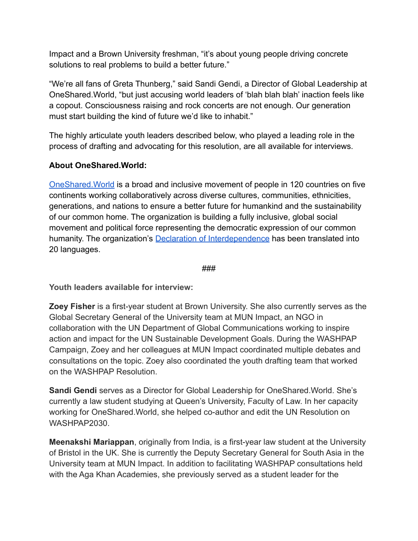Impact and a Brown University freshman, "it's about young people driving concrete solutions to real problems to build a better future."

"We're all fans of Greta Thunberg," said Sandi Gendi, a Director of Global Leadership at OneShared.World, "but just accusing world leaders of 'blah blah blah' inaction feels like a copout. Consciousness raising and rock concerts are not enough. Our generation must start building the kind of future we'd like to inhabit."

The highly articulate youth leaders described below, who played a leading role in the process of drafting and advocating for this resolution, are all available for interviews.

## **About OneShared.World:**

[OneShared.World](https://oneshared.world/) is a broad and inclusive movement of people in 120 countries on five continents working collaboratively across diverse cultures, communities, ethnicities, generations, and nations to ensure a better future for humankind and the sustainability of our common home. The organization is building a fully inclusive, global social movement and political force representing the democratic expression of our common humanity. The organization's **[Declaration of Interdependence](https://oneshared.world/declaration/)** has been translated into 20 languages.

## ###

**Youth leaders available for interview:**

**Zoey Fisher** is a first-year student at Brown University. She also currently serves as the Global Secretary General of the University team at MUN Impact, an NGO in collaboration with the UN Department of Global Communications working to inspire action and impact for the UN Sustainable Development Goals. During the WASHPAP Campaign, Zoey and her colleagues at MUN Impact coordinated multiple debates and consultations on the topic. Zoey also coordinated the youth drafting team that worked on the WASHPAP Resolution.

**Sandi Gendi** serves as a Director for Global Leadership for OneShared.World. She's currently a law student studying at Queen's University, Faculty of Law. In her capacity working for OneShared.World, she helped co-author and edit the UN Resolution on WASHPAP2030.

**Meenakshi Mariappan**, originally from India, is a first-year law student at the University of Bristol in the UK. She is currently the Deputy Secretary General for South Asia in the University team at MUN Impact. In addition to facilitating WASHPAP consultations held with the Aga Khan Academies, she previously served as a student leader for the